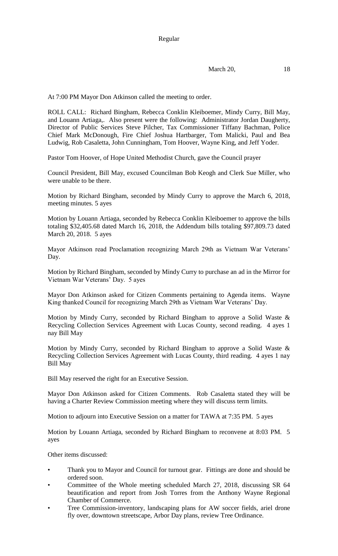March 20, 18

At 7:00 PM Mayor Don Atkinson called the meeting to order.

ROLL CALL: Richard Bingham, Rebecca Conklin Kleiboemer, Mindy Curry, Bill May, and Louann Artiaga,. Also present were the following: Administrator Jordan Daugherty, Director of Public Services Steve Pilcher, Tax Commissioner Tiffany Bachman, Police Chief Mark McDonough, Fire Chief Joshua Hartbarger, Tom Malicki, Paul and Bea Ludwig, Rob Casaletta, John Cunningham, Tom Hoover, Wayne King, and Jeff Yoder.

Pastor Tom Hoover, of Hope United Methodist Church, gave the Council prayer

Council President, Bill May, excused Councilman Bob Keogh and Clerk Sue Miller, who were unable to be there.

Motion by Richard Bingham, seconded by Mindy Curry to approve the March 6, 2018, meeting minutes. 5 ayes

Motion by Louann Artiaga, seconded by Rebecca Conklin Kleiboemer to approve the bills totaling \$32,405.68 dated March 16, 2018, the Addendum bills totaling \$97,809.73 dated March 20, 2018. 5 ayes

Mayor Atkinson read Proclamation recognizing March 29th as Vietnam War Veterans' Day.

Motion by Richard Bingham, seconded by Mindy Curry to purchase an ad in the Mirror for Vietnam War Veterans' Day. 5 ayes

Mayor Don Atkinson asked for Citizen Comments pertaining to Agenda items. Wayne King thanked Council for recognizing March 29th as Vietnam War Veterans' Day.

Motion by Mindy Curry, seconded by Richard Bingham to approve a Solid Waste & Recycling Collection Services Agreement with Lucas County, second reading. 4 ayes 1 nay Bill May

Motion by Mindy Curry, seconded by Richard Bingham to approve a Solid Waste & Recycling Collection Services Agreement with Lucas County, third reading. 4 ayes 1 nay Bill May

Bill May reserved the right for an Executive Session.

Mayor Don Atkinson asked for Citizen Comments. Rob Casaletta stated they will be having a Charter Review Commission meeting where they will discuss term limits.

Motion to adjourn into Executive Session on a matter for TAWA at 7:35 PM. 5 ayes

Motion by Louann Artiaga, seconded by Richard Bingham to reconvene at 8:03 PM. 5 ayes

Other items discussed:

- Thank you to Mayor and Council for turnout gear. Fittings are done and should be ordered soon.
- Committee of the Whole meeting scheduled March 27, 2018, discussing SR 64 beautification and report from Josh Torres from the Anthony Wayne Regional Chamber of Commerce.
- Tree Commission-inventory, landscaping plans for AW soccer fields, ariel drone fly over, downtown streetscape, Arbor Day plans, review Tree Ordinance.